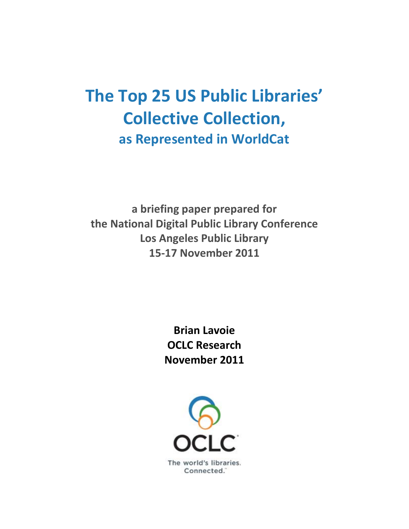# **The Top 25 US Public Libraries' Collective Collection, as Represented in WorldCat**

**a briefing paper prepared for the National Digital Public Library Conference Los Angeles Public Library 15-17 November 2011**

> **Brian Lavoie OCLC Research November 2011**

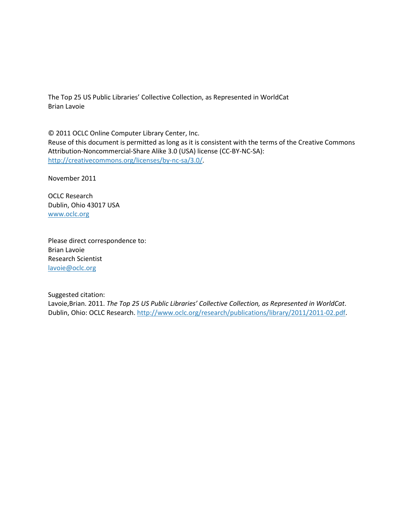The Top 25 US Public Libraries' Collective Collection, as Represented in WorldCat Brian Lavoie

© 2011 OCLC Online Computer Library Center, Inc. Reuse of this document is permitted as long as it is consistent with the terms of the Creative Commons Attribution-Noncommercial-Share Alike 3.0 (USA) license (CC-BY-NC-SA): [http://creativecommons.org/licenses/by-nc-sa/3.0/.](http://creativecommons.org/licenses/by-nc-sa/3.0/)

November 2011

OCLC Research Dublin, Ohio 43017 USA [www.oclc.org](http://www.oclc.org/)

Please direct correspondence to: Brian Lavoie Research Scientist [lavoie@oclc.org](mailto:lavoie@oclc.org)

Suggested citation:

Lavoie,Brian. 2011. *The Top 25 US Public Libraries' Collective Collection, as Represented in WorldCat*. Dublin, Ohio: OCLC Research. http://www.oclc.org/research/publications/library/2011/2011-02.pdf.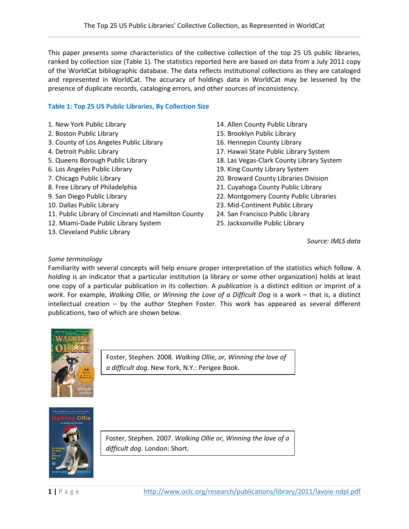This paper presents some characteristics of the collective collection of the top 25 US public libraries, ranked by collection size (Table 1). The statistics reported here are based on data from a July 2011 copy of the WorldCat bibliographic database. The data reflects institutional collections as they are cataloged and represented in WorldCat. The accuracy of holdings data in WorldCat may be lessened by the presence of duplicate records, cataloging errors, and other sources of inconsistency.

## **Table 1: Top 25 US Public Libraries, By Collection Size**

- 
- 
- 3. County of Los Angeles Public Library 16. Hennepin County Library
- 
- 
- 
- 
- 
- 
- 
- 11. Public Library of Cincinnati and Hamilton County 24. San Francisco Public Library
- 12. Miami-Dade Public Library System 25. Jacksonville Public Library
- 13. Cleveland Public Library
- 1. New York Public Library 14. Allen County Public Library
- 2. Boston Public Library 15. Brooklyn Public Library
	-
- 4. Detroit Public Library 17. Hawaii State Public Library System
- 5. Queens Borough Public Library 18. Las Vegas-Clark County Library System
- 6. Los Angeles Public Library 19. King County Library System
- 7. Chicago Public Library 20. Broward County Libraries Division
- 8. Free Library of Philadelphia 21. Cuyahoga County Public Library
- 9. San Diego Public Library 22. Montgomery County Public Libraries
- 10. Dallas Public Library 23. Mid-Continent Public Library
	-
	-

*Source: IMLS data*

#### *Some terminology*

Familiarity with several concepts will help ensure proper interpretation of the statistics which follow. A *holding* is an indicator that a particular institution (a library or some other organization) holds at least one copy of a particular publication in its collection. A *publication* is a distinct edition or imprint of a *work*. For example, *Walking Ollie, or Winning the Love of a Difficult Dog* is a work – that is, a distinct intellectual creation – by the author Stephen Foster. This work has appeared as several different publications, two of which are shown below.



Foster, Stephen. 2008. *Walking Ollie, or, Winning the love of a difficult dog*. New York, N.Y.: Perigee Book.



Foster, Stephen. 2007. *Walking Ollie or, Winning the love of a difficult dog*. London: Short.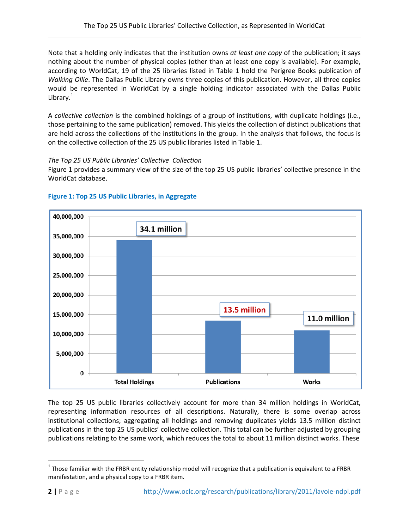Note that a holding only indicates that the institution owns *at least one copy* of the publication; it says nothing about the number of physical copies (other than at least one copy is available). For example, according to WorldCat, 19 of the 25 libraries listed in Table 1 hold the Perigree Books publication of *Walking Ollie*. The Dallas Public Library owns three copies of this publication. However, all three copies would be represented in WorldCat by a single holding indicator associated with the Dallas Public Library.<sup>[1](#page-3-0)</sup>

A *collective collection* is the combined holdings of a group of institutions, with duplicate holdings (i.e., those pertaining to the same publication) removed. This yields the collection of distinct publications that are held across the collections of the institutions in the group. In the analysis that follows, the focus is on the collective collection of the 25 US public libraries listed in Table 1.

#### *The Top 25 US Public Libraries' Collective Collection*

Figure 1 provides a summary view of the size of the top 25 US public libraries' collective presence in the WorldCat database.



# **Figure 1: Top 25 US Public Libraries, in Aggregate**

The top 25 US public libraries collectively account for more than 34 million holdings in WorldCat, representing information resources of all descriptions. Naturally, there is some overlap across institutional collections; aggregating all holdings and removing duplicates yields 13.5 million distinct publications in the top 25 US publics' collective collection. This total can be further adjusted by grouping publications relating to the same work, which reduces the total to about 11 million distinct works. These

<span id="page-3-0"></span> $1$  Those familiar with the FRBR entity relationship model will recognize that a publication is equivalent to a FRBR manifestation, and a physical copy to a FRBR item.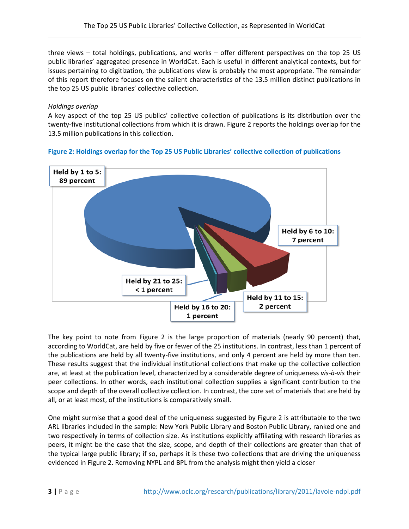three views – total holdings, publications, and works – offer different perspectives on the top 25 US public libraries' aggregated presence in WorldCat. Each is useful in different analytical contexts, but for issues pertaining to digitization, the publications view is probably the most appropriate. The remainder of this report therefore focuses on the salient characteristics of the 13.5 million distinct publications in the top 25 US public libraries' collective collection.

## *Holdings overlap*

A key aspect of the top 25 US publics' collective collection of publications is its distribution over the twenty-five institutional collections from which it is drawn. Figure 2 reports the holdings overlap for the 13.5 million publications in this collection.

# **Figure 2: Holdings overlap for the Top 25 US Public Libraries' collective collection of publications**



The key point to note from Figure 2 is the large proportion of materials (nearly 90 percent) that, according to WorldCat, are held by five or fewer of the 25 institutions. In contrast, less than 1 percent of the publications are held by all twenty-five institutions, and only 4 percent are held by more than ten. These results suggest that the individual institutional collections that make up the collective collection are, at least at the publication level, characterized by a considerable degree of uniqueness *vis-à-vis* their peer collections. In other words, each institutional collection supplies a significant contribution to the scope and depth of the overall collective collection. In contrast, the core set of materials that are held by all, or at least most, of the institutions is comparatively small.

One might surmise that a good deal of the uniqueness suggested by Figure 2 is attributable to the two ARL libraries included in the sample: New York Public Library and Boston Public Library, ranked one and two respectively in terms of collection size. As institutions explicitly affiliating with research libraries as peers, it might be the case that the size, scope, and depth of their collections are greater than that of the typical large public library; if so, perhaps it is these two collections that are driving the uniqueness evidenced in Figure 2. Removing NYPL and BPL from the analysis might then yield a closer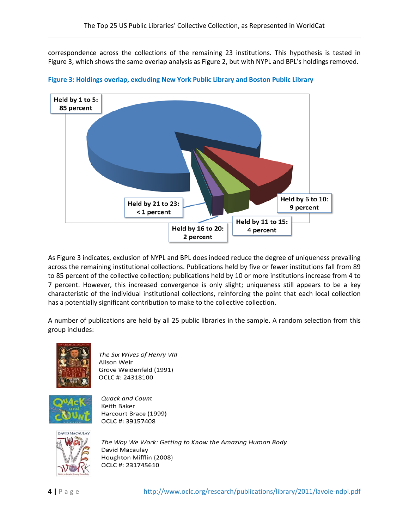correspondence across the collections of the remaining 23 institutions. This hypothesis is tested in Figure 3, which shows the same overlap analysis as Figure 2, but with NYPL and BPL's holdings removed.



**Figure 3: Holdings overlap, excluding New York Public Library and Boston Public Library** 

As Figure 3 indicates, exclusion of NYPL and BPL does indeed reduce the degree of uniqueness prevailing across the remaining institutional collections. Publications held by five or fewer institutions fall from 89 to 85 percent of the collective collection; publications held by 10 or more institutions increase from 4 to 7 percent. However, this increased convergence is only slight; uniqueness still appears to be a key characteristic of the individual institutional collections, reinforcing the point that each local collection has a potentially significant contribution to make to the collective collection.

A number of publications are held by all 25 public libraries in the sample. A random selection from this group includes:



The Six Wives of Henry VIII Alison Weir Grove Weidenfeld (1991) OCLC #: 24318100



**Quack and Count** Keith Baker Harcourt Brace (1999) OCLC #: 39157408



The Way We Work: Getting to Know the Amazing Human Body David Macaulay Houghton Mifflin (2008) OCLC #: 231745610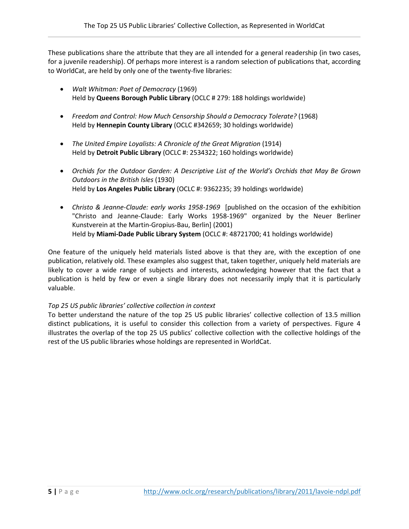These publications share the attribute that they are all intended for a general readership (in two cases, for a juvenile readership). Of perhaps more interest is a random selection of publications that, according to WorldCat, are held by only one of the twenty-five libraries:

- *Walt Whitman: Poet of Democracy* (1969) Held by **Queens Borough Public Library** (OCLC # 279: 188 holdings worldwide)
- *Freedom and Control: How Much Censorship Should a Democracy Tolerate?* (1968) Held by **Hennepin County Library** (OCLC #342659; 30 holdings worldwide)
- The United Empire Loyalists: A Chronicle of the Great Migration (1914) Held by **Detroit Public Library** (OCLC #: 2534322; 160 holdings worldwide)
- *Orchids for the Outdoor Garden: A Descriptive List of the World's Orchids that May Be Grown Outdoors in the British Isles* (1930) Held by **Los Angeles Public Library** (OCLC #: 9362235; 39 holdings worldwide)
- *Christo & Jeanne-Claude: early works 1958-1969* [published on the occasion of the exhibition "Christo and Jeanne-Claude: Early Works 1958-1969" organized by the Neuer Berliner Kunstverein at the Martin-Gropius-Bau, Berlin] (2001) Held by **Miami-Dade Public Library System** (OCLC #: 48721700; 41 holdings worldwide)

One feature of the uniquely held materials listed above is that they are, with the exception of one publication, relatively old. These examples also suggest that, taken together, uniquely held materials are likely to cover a wide range of subjects and interests, acknowledging however that the fact that a publication is held by few or even a single library does not necessarily imply that it is particularly valuable.

# *Top 25 US public libraries' collective collection in context*

To better understand the nature of the top 25 US public libraries' collective collection of 13.5 million distinct publications, it is useful to consider this collection from a variety of perspectives. Figure 4 illustrates the overlap of the top 25 US publics' collective collection with the collective holdings of the rest of the US public libraries whose holdings are represented in WorldCat.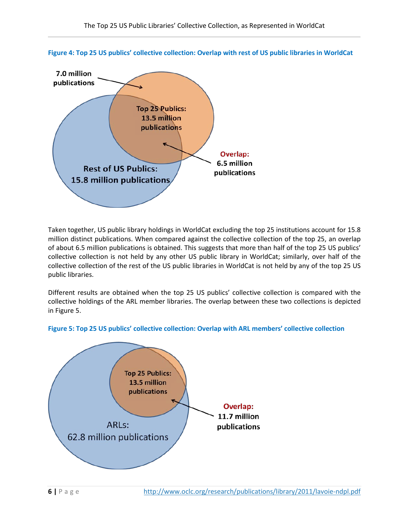



Taken together, US public library holdings in WorldCat excluding the top 25 institutions account for 15.8 million distinct publications. When compared against the collective collection of the top 25, an overlap of about 6.5 million publications is obtained. This suggests that more than half of the top 25 US publics' collective collection is not held by any other US public library in WorldCat; similarly, over half of the collective collection of the rest of the US public libraries in WorldCat is not held by any of the top 25 US public libraries.

Different results are obtained when the top 25 US publics' collective collection is compared with the collective holdings of the ARL member libraries. The overlap between these two collections is depicted in Figure 5.



# **Figure 5: Top 25 US publics' collective collection: Overlap with ARL members' collective collection**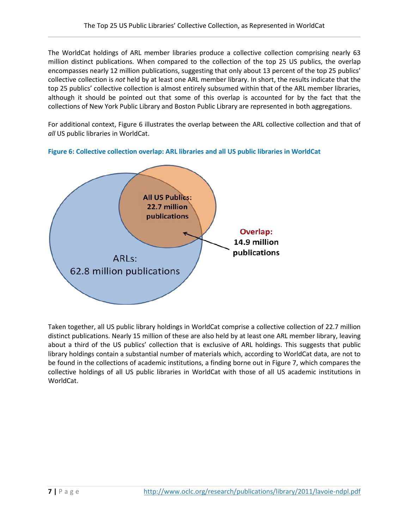The WorldCat holdings of ARL member libraries produce a collective collection comprising nearly 63 million distinct publications. When compared to the collection of the top 25 US publics, the overlap encompasses nearly 12 million publications, suggesting that only about 13 percent of the top 25 publics' collective collection is *not* held by at least one ARL member library. In short, the results indicate that the top 25 publics' collective collection is almost entirely subsumed within that of the ARL member libraries, although it should be pointed out that some of this overlap is accounted for by the fact that the collections of New York Public Library and Boston Public Library are represented in both aggregations.

For additional context, Figure 6 illustrates the overlap between the ARL collective collection and that of *all* US public libraries in WorldCat.



**Figure 6: Collective collection overlap: ARL libraries and all US public libraries in WorldCat**

Taken together, all US public library holdings in WorldCat comprise a collective collection of 22.7 million distinct publications. Nearly 15 million of these are also held by at least one ARL member library, leaving about a third of the US publics' collection that is exclusive of ARL holdings. This suggests that public library holdings contain a substantial number of materials which, according to WorldCat data, are not to be found in the collections of academic institutions, a finding borne out in Figure 7, which compares the collective holdings of all US public libraries in WorldCat with those of all US academic institutions in WorldCat.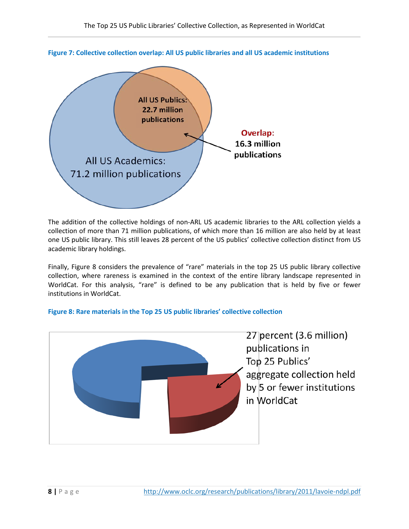

**Figure 7: Collective collection overlap: All US public libraries and all US academic institutions**

The addition of the collective holdings of non-ARL US academic libraries to the ARL collection yields a collection of more than 71 million publications, of which more than 16 million are also held by at least one US public library. This still leaves 28 percent of the US publics' collective collection distinct from US academic library holdings.

Finally, Figure 8 considers the prevalence of "rare" materials in the top 25 US public library collective collection, where rareness is examined in the context of the entire library landscape represented in WorldCat. For this analysis, "rare" is defined to be any publication that is held by five or fewer institutions in WorldCat.



# **Figure 8: Rare materials in the Top 25 US public libraries' collective collection**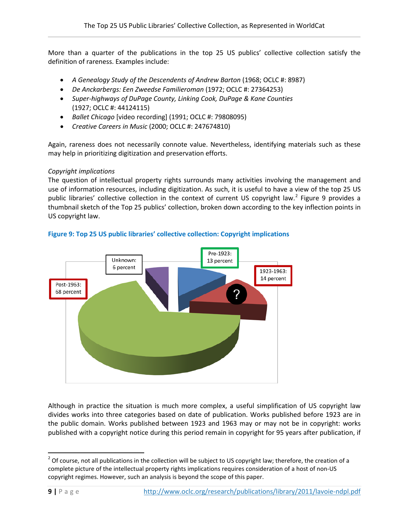More than a quarter of the publications in the top 25 US publics' collective collection satisfy the definition of rareness. Examples include:

- *A Genealogy Study of the Descendents of Andrew Barton* (1968; OCLC #: 8987)
- *De Anckarbergs: Een Zweedse Familieroman* (1972; OCLC #: 27364253)
- *Super-highways of DuPage County, Linking Cook, DuPage & Kane Counties* (1927; OCLC #: 44124115)
- *Ballet Chicago* [video recording] (1991; OCLC #: 79808095)
- *Creative Careers in Music* (2000; OCLC #: 247674810)

Again, rareness does not necessarily connote value. Nevertheless, identifying materials such as these may help in prioritizing digitization and preservation efforts.

#### *Copyright implications*

The question of intellectual property rights surrounds many activities involving the management and use of information resources, including digitization. As such, it is useful to have a view of the top 25 US public libraries' collective collection in the context of current US copyright law.<sup>[2](#page-10-0)</sup> Figure 9 provides a thumbnail sketch of the Top 25 publics' collection, broken down according to the key inflection points in US copyright law.



**Figure 9: Top 25 US public libraries' collective collection: Copyright implications**

Although in practice the situation is much more complex, a useful simplification of US copyright law divides works into three categories based on date of publication. Works published before 1923 are in the public domain. Works published between 1923 and 1963 may or may not be in copyright: works published with a copyright notice during this period remain in copyright for 95 years after publication, if

<span id="page-10-0"></span> $2$  Of course, not all publications in the collection will be subject to US copyright law; therefore, the creation of a complete picture of the intellectual property rights implications requires consideration of a host of non-US copyright regimes. However, such an analysis is beyond the scope of this paper.